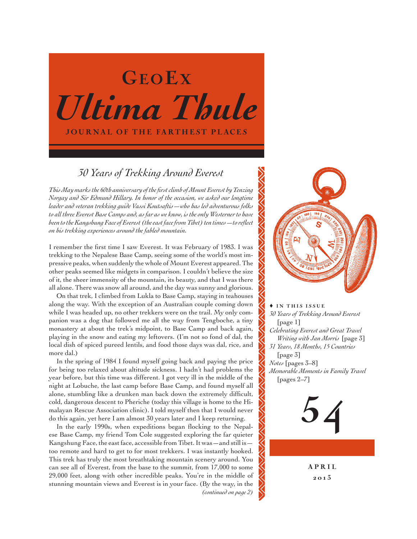# *Ultima Thule* JOURNAL OF THE FARTHEST PLACES GEOEX

# *30 Years of Trekking Around Everest*

*This May marks the 60th anniversary of the first climb of Mount Everest by Tenzing Norgay and Sir Edmund Hillary. In honor of the occasion, we asked our longtime leader and veteran trekking guide Vassi Koutsaftis—who has led adventurous folks to all three Everest Base Camps and, as far as we know, is the only Westerner to have been to the Kangshung Face of Everest (the east face from Tibet) ten times—to reflect on his trekking experiences around the fabled mountain.*

I remember the first time I saw Everest. It was February of 1983. I was trekking to the Nepalese Base Camp, seeing some of the world's most impressive peaks, when suddenly the whole of Mount Everest appeared. The other peaks seemed like midgets in comparison. I couldn't believe the size of it, the sheer immensity of the mountain, its beauty, and that I was there all alone. There was snow all around, and the day was sunny and glorious.

On that trek, I climbed from Lukla to Base Camp, staying in teahouses along the way. With the exception of an Australian couple coming down while I was headed up, no other trekkers were on the trail. My only companion was a dog that followed me all the way from Tengboche, a tiny monastery at about the trek's midpoint, to Base Camp and back again, playing in the snow and eating my leftovers. (I'm not so fond of dal, the local dish of spiced pureed lentils, and food those days was dal, rice, and more dal.)

In the spring of 1984 I found myself going back and paying the price for being too relaxed about altitude sickness. I hadn't had problems the year before, but this time was different. I got very ill in the middle of the night at Lobuche, the last camp before Base Camp, and found myself all alone, stumbling like a drunken man back down the extremely difficult, cold, dangerous descent to Pheriche (today this village is home to the Himalayan Rescue Association clinic). I told myself then that I would never do this again, yet here I am almost 30 years later and I keep returning.

In the early 1990s, when expeditions began flocking to the Nepalese Base Camp, my friend Tom Cole suggested exploring the far quieter Kangshung Face, the east face, accessible from Tibet. It was  $-$  and still is  $$ too remote and hard to get to for most trekkers. I was instantly hooked. This trek has truly the most breathtaking mountain scenery around. You can see all of Everest, from the base to the summit, from 17,000 to some 29,000 feet, along with other incredible peaks. You're in the middle of stunning mountain views and Everest is in your face. (By the way, in the *(continued on page 2)*



 $\triangle$  in this issue *30 Years of Trekking Around Everest*  [page 1] *Celebrating Everest and Great Travel Writing with Jan Morris* [page 3] *31 Years, 18 Months, 15 Countries*  [page 3] *Notes* [pages 3–8] *Memorable Moments in Family Travel*  [pages 2–7]



A P R I L 20 13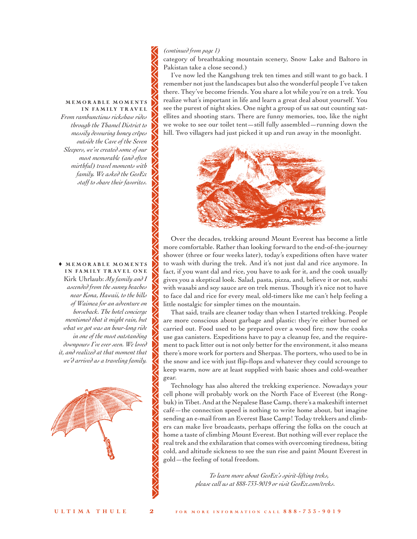### *(continued from page 1)*

category of breathtaking mountain scenery, Snow Lake and Baltoro in Pakistan take a close second.)

I've now led the Kangshung trek ten times and still want to go back. I remember not just the landscapes but also the wonderful people I've taken there. They've become friends. You share a lot while you're on a trek. You realize what's important in life and learn a great deal about yourself. You see the purest of night skies. One night a group of us sat out counting satellites and shooting stars. There are funny memories, too, like the night we woke to see our toilet tent—still fully assembled—running down the hill. Two villagers had just picked it up and run away in the moonlight.



Over the decades, trekking around Mount Everest has become a little more comfortable. Rather than looking forward to the end-of-the-journey shower (three or four weeks later), today's expeditions often have water to wash with during the trek. And it's not just dal and rice anymore. In fact, if you want dal and rice, you have to ask for it, and the cook usually gives you a skeptical look. Salad, pasta, pizza, and, believe it or not, sushi with wasabi and soy sauce are on trek menus. Though it's nice not to have to face dal and rice for every meal, old-timers like me can't help feeling a little nostalgic for simpler times on the mountain.

That said, trails are cleaner today than when I started trekking. People are more conscious about garbage and plastic: they're either burned or carried out. Food used to be prepared over a wood fire; now the cooks use gas canisters. Expeditions have to pay a cleanup fee, and the requirement to pack litter out is not only better for the environment, it also means there's more work for porters and Sherpas. The porters, who used to be in the snow and ice with just flip-flops and whatever they could scrounge to keep warm, now are at least supplied with basic shoes and cold-weather gear.

Technology has also altered the trekking experience. Nowadays your cell phone will probably work on the North Face of Everest (the Rongbuk) in Tibet. And at the Nepalese Base Camp, there's a makeshift internet café—the connection speed is nothing to write home about, but imagine sending an e-mail from an Everest Base Camp! Today trekkers and climbers can make live broadcasts, perhaps offering the folks on the couch at home a taste of climbing Mount Everest. But nothing will ever replace the real trek and the exhilaration that comes with overcoming tiredness, biting cold, and altitude sickness to see the sun rise and paint Mount Everest in gold—the feeling of total freedom.

> *To learn more about GeoEx's spirit-lifting treks, please call us at 888-733-9019 or visit GeoEx.com/treks.*

MEMORABLE MOMENTS IN FAMILY TRAVEL *From rambunctious rickshaw rides through the Thamel District to messily devouring honey crêpes outside the Cave of the Seven Sleepers, we've created some of our most memorable (and often mirthful) travel moments with family. We asked the GeoEx staff to share their favorites.*

 $\triangle$  MEMORABLE MOMENTS IN FAMILY TRAVEL ONE Kirk Uhrlaub: *My family and I ascended from the sunny beaches near Kona, Hawaii, to the hills of Waimea for an adventure on horseback. The hotel concierge mentioned that it might rain, but what we got was an hour-long ride in one of the most outstanding downpours I've ever seen. We loved it, and realized at that moment that we'd arrived as a traveling family.* 

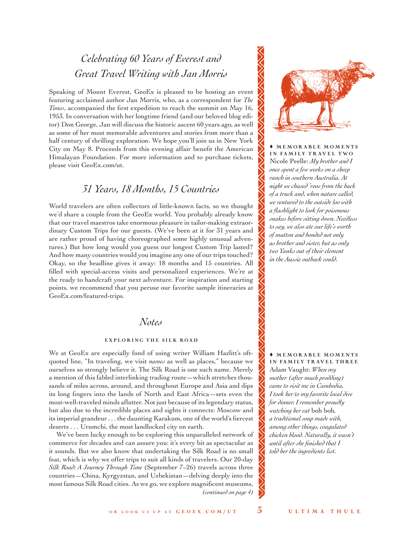# *Celebrating 60 Years of Everest and Great Travel Writing with Jan Morris*

Speaking of Mount Everest, GeoEx is pleased to be hosting an event featuring acclaimed author Jan Morris, who, as a correspondent for *The Times*, accompanied the first expedition to reach the summit on May 16, 1953. In conversation with her longtime friend (and our beloved blog editor) Don George, Jan will discuss the historic ascent 60 years ago, as well as some of her most memorable adventures and stories from more than a half century of thrilling exploration. We hope you'll join us in New York City on May 8. Proceeds from this evening affair benefit the American Himalayan Foundation. For more information and to purchase tickets, please visit GeoEx.com/ut.

## *31 Years, 18 Months, 15 Countries*

World travelers are often collectors of little-known facts, so we thought we'd share a couple from the GeoEx world. You probably already know that our travel maestros take enormous pleasure in tailor-making extraordinary Custom Trips for our guests. (We've been at it for 31 years and are rather proud of having choreographed some highly unusual adventures.) But how long would you guess our longest Custom Trip lasted? And how many countries would you imagine any one of our trips touched? Okay, so the headline gives it away: 18 months and 15 countries. All filled with special-access visits and personalized experiences. We're at the ready to handcraft your next adventure. For inspiration and starting points, we recommend that you peruse our favorite sample itineraries at GeoEx.com/featured-trips.

### *Notes*

### EXPLORING THE SILK ROAD

We at GeoEx are especially fond of using writer William Hazlitt's oftquoted line, "In traveling, we visit *names* as well as places," because we ourselves so strongly believe it. The Silk Road is one such name. Merely a mention of this fabled interlinking trading route—which stretches thousands of miles across, around, and throughout Europe and Asia and dips its long fingers into the lands of North and East Africa—sets even the most-well-traveled minds aflutter. Not just because of its legendary status, but also due to the incredible places and sights it connects: Moscow and its imperial grandeur . . . the daunting Karakum, one of the world's fiercest deserts . . . Urumchi, the most landlocked city on earth.

We've been lucky enough to be exploring this unparalleled network of commerce for decades and can assure you: it's every bit as spectacular as it sounds. But we also know that undertaking the Silk Road is no small feat, which is why we offer trips to suit all kinds of travelers. Our 20-day *Silk Road: A Journey Through Time* (September 7–26) travels across three countries—China, Kyrgyzstan, and Uzbekistan—delving deeply into the most famous Silk Road cities. As we go, we explore magnificent museums, *(continued on page 4)*



 $\triangle$  MEMORABLE MOMENTS IN FAMILY TRAVEL TWO Nicole Peelle: *My brother and I once spent a few weeks on a sheep ranch in southern Australia. At night we chased 'roos from the back of a truck and, when nature called, we ventured to the outside loo with a flashlight to look for poisonous snakes before sitting down. Needless to say, we also ate our life's worth of mutton and bonded not only as brother and sister, but as only two Yanks out of their element in the Aussie outback could.* 

### $\triangle$  MEMORABLE MOMENTS IN FAMILY TRAVEL THREE

Adam Vaught: *When my mother (after much prodding) came to visit me in Cambodia, I took her to my favorite local dive for dinner. I remember proudly watching her eat* boh boh*, a traditional soup made with, among other things, coagulated chicken blood. Naturally, it wasn't until after she finished that I told her the ingredients list.*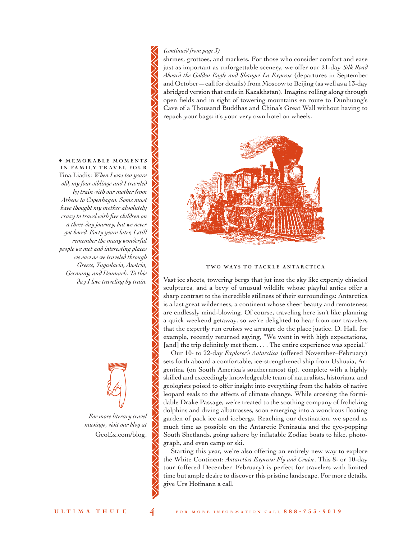### *(continued from page 3)*

shrines, grottoes, and markets. For those who consider comfort and ease just as important as unforgettable scenery, we offer our 21-day *Silk Road Aboard the Golden Eagle and Shangri-La Express* (departures in September and October—call for details) from Moscow to Beijing (as well as a 13-day abridged version that ends in Kazakhstan). Imagine rolling along through open fields and in sight of towering mountains en route to Dunhuang's Cave of a Thousand Buddhas and China's Great Wall without having to repack your bags: it's your very own hotel on wheels.



### TWO WAYS TO TACKLE ANTARCTICA

Vast ice sheets, towering bergs that jut into the sky like expertly chiseled sculptures, and a bevy of unusual wildlife whose playful antics offer a sharp contrast to the incredible stillness of their surroundings: Antarctica is a last great wilderness, a continent whose sheer beauty and remoteness are endlessly mind-blowing. Of course, traveling here isn't like planning a quick weekend getaway, so we're delighted to hear from our travelers that the expertly run cruises we arrange do the place justice. D. Hall, for example, recently returned saying, "We went in with high expectations, [and] the trip definitely met them.... The entire experience was special."

Our 10- to 22-day *Explorer's Antarctica* (offered November–February) sets forth aboard a comfortable, ice-strengthened ship from Ushuaia, Argentina (on South America's southernmost tip), complete with a highly skilled and exceedingly knowledgeable team of naturalists, historians, and geologists poised to offer insight into everything from the habits of native leopard seals to the effects of climate change. While crossing the formidable Drake Passage, we're treated to the soothing company of frolicking dolphins and diving albatrosses, soon emerging into a wondrous floating garden of pack ice and icebergs. Reaching our destination, we spend as much time as possible on the Antarctic Peninsula and the eye-popping South Shetlands, going ashore by inflatable Zodiac boats to hike, photograph, and even camp or ski.

Starting this year, we're also offering an entirely new way to explore the White Continent: *Antarctica Express: Fly and Cruise*. This 8- or 10-day tour (offered December–February) is perfect for travelers with limited time but ample desire to discover this pristine landscape. For more details, give Urs Hofmann a call.

 $\triangle$  MEMORABLE MOMENTS IN FAMILY TRAVEL FOUR Tina Liadis: *When I was ten years old, my four siblings and I traveled by train with our mother from Athens to Copenhagen. Some must have thought my mother absolutely crazy to travel with five children on a three-day journey, but we never got bored. Forty years later, I still remember the many wonderful people we met and interesting places we saw as we traveled through Greece, Yugoslavia, Austria, Germany, and Denmark. To this day I love traveling by train.*

> *For more literary travel*  •

*musings, visit our blog at* GeoEx.com/blog.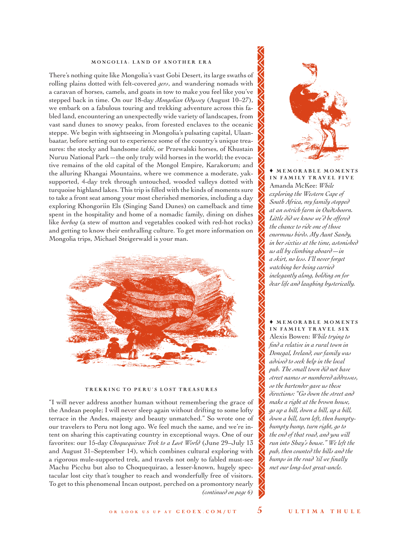### MONGOLIA: LAND OF ANOTHER ERA

There's nothing quite like Mongolia's vast Gobi Desert, its large swaths of rolling plains dotted with felt-covered *gers*, and wandering nomads with a caravan of horses, camels, and goats in tow to make you feel like you've stepped back in time. On our 18-day *Mongolian Odyssey* (August 10–27), we embark on a fabulous touring and trekking adventure across this fabled land, encountering an unexpectedly wide variety of landscapes, from vast sand dunes to snowy peaks, from forested enclaves to the oceanic steppe. We begin with sightseeing in Mongolia's pulsating capital, Ulaanbaatar, before setting out to experience some of the country's unique treasures: the stocky and handsome *takhi*, or Przewalski horses, of Khustain Nuruu National Park—the only truly wild horses in the world; the evocative remains of the old capital of the Mongol Empire, Karakorum; and the alluring Khangai Mountains, where we commence a moderate, yaksupported, 4-day trek through untouched, wooded valleys dotted with turquoise highland lakes. This trip is filled with the kinds of moments sure to take a front seat among your most cherished memories, including a day exploring Khongoriin Els (Singing Sand Dunes) on camelback and time spent in the hospitality and home of a nomadic family, dining on dishes like *horhog* (a stew of mutton and vegetables cooked with red-hot rocks) and getting to know their enthralling culture. To get more information on Mongolia trips, Michael Steigerwald is your man.



### TREKKING TO PERU'S LOST TREASURES

"I will never address another human without remembering the grace of the Andean people; I will never sleep again without drifting to some lofty terrace in the Andes, majesty and beauty unmatched." So wrote one of our travelers to Peru not long ago. We feel much the same, and we're intent on sharing this captivating country in exceptional ways. One of our favorites: our 15-day *Choquequirao: Trek to a Lost World* (June 29–July 13 and August 31–September 14), which combines cultural exploring with a rigorous mule-supported trek, and travels not only to fabled must-see Machu Picchu but also to Choquequirao, a lesser-known, hugely spectacular lost city that's tougher to reach and wonderfully free of visitors. To get to this phenomenal Incan outpost, perched on a promontory nearly *(continued on page 6)*



IN FAMILY TRAVEL FIVE Amanda McKee: *While exploring the Western Cape of South Africa, my family stopped at an ostrich farm in Oudtshoorn. Little did we know we'd be offered the chance to ride one of those enormous birds. My Aunt Sandy, in her sixties at the time, astonished us all by climbing aboard—in a skirt, no less. I'll never forget watching her being carried inelegantly along, holding on for dear life and laughing hysterically.*

### $\triangle$  MEMORABLE MOMENTS IN FAMILY TRAVEL SIX

Alexis Bowen: *While trying to find a relative in a rural town in Donegal, Ireland, our family was advised to seek help in the local pub. The small town did not have street names or numbered addresses, so the bartender gave us these directions: "Go down the street and make a right at the brown house, go up a hill, down a hill, up a hill, down a hill, turn left, then bumptybumpty bump, turn right, go to the end of that road, and you will run into Shay's house." We left the pub, then counted the hills and the bumps in the road 'til we finally met our long-lost great-uncle.*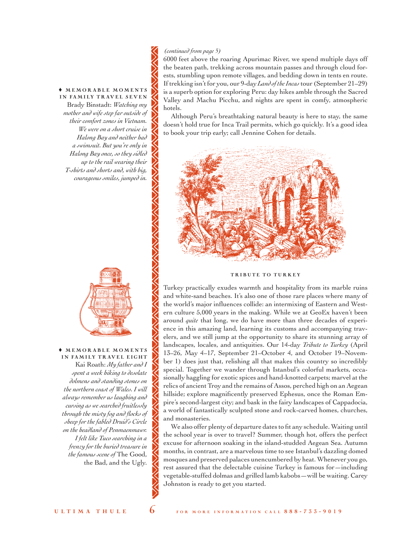$\triangle$  MEMORABLE MOMENTS IN FAMILY TRAVEL SEVEN Brady Binstadt: *Watching my mother and wife step far outside of their comfort zones in Vietnam. We were on a short cruise in Halong Bay and neither had a swimsuit. But you're only in Halong Bay once, so they sidled up to the rail wearing their T-shirts and shorts and, with big, courageous smiles, jumped in.*



 $\triangle$  MEMORABLE MOMENTS IN FAMILY TRAVEL EIGHT Kai Roath: *My father and I spent a week hiking to desolate dolmens and standing stones on the northern coast of Wales. I will always remember us laughing and cursing as we searched fruitlessly through the misty fog and flocks of sheep for the fabled Druid's Circle on the headland of Penmaenmawr. I felt like Tuco searching in a frenzy for the buried treasure in the famous scene of* The Good, the Bad, and the Ugly.

### *(continued from page 5)*

6000 feet above the roaring Apurimac River, we spend multiple days off the beaten path, trekking across mountain passes and through cloud forests, stumbling upon remote villages, and bedding down in tents en route. If trekking isn't for you, our 9-day *Land of the Incas* tour (September 21–29) is a superb option for exploring Peru: day hikes amble through the Sacred Valley and Machu Picchu, and nights are spent in comfy, atmospheric hotels.

Although Peru's breathtaking natural beauty is here to stay, the same doesn't hold true for Inca Trail permits, which go quickly. It's a good idea to book your trip early; call Jennine Cohen for details.



### TRIBUTE TO TURKEY

Turkey practically exudes warmth and hospitality from its marble ruins and white-sand beaches. It's also one of those rare places where many of the world's major influences collide: an intermixing of Eastern and Western culture 5,000 years in the making. While we at GeoEx haven't been around *quite* that long, we do have more than three decades of experience in this amazing land, learning its customs and accompanying travelers, and we still jump at the opportunity to share its stunning array of landscapes, locales, and antiquities. Our 14-day *Tribute to Turkey* (April 13–26, May 4–17, September 21–October 4, and October 19–November 1) does just that, relishing all that makes this country so incredibly special. Together we wander through Istanbul's colorful markets, occasionally haggling for exotic spices and hand-knotted carpets; marvel at the relics of ancient Troy and the remains of Assos, perched high on an Aegean hillside; explore magnificently preserved Ephesus, once the Roman Empire's second-largest city; and bask in the fairy landscapes of Cappadocia, a world of fantastically sculpted stone and rock-carved homes, churches, and monasteries.

We also offer plenty of departure dates to fit any schedule. Waiting until the school year is over to travel? Summer, though hot, offers the perfect excuse for afternoon soaking in the island-studded Aegean Sea. Autumn months, in contrast, are a marvelous time to see Istanbul's dazzling domed mosques and preserved palaces unencumbered by heat. Whenever you go, rest assured that the delectable cuisine Turkey is famous for—including vegetable-stuffed dolmas and grilled lamb kabobs—will be waiting. Carey Johnston is ready to get you started.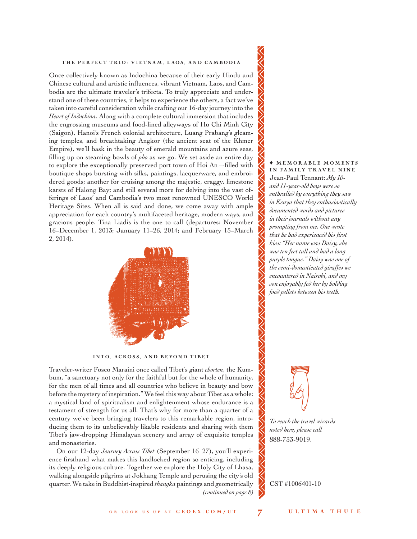### THE PERFECT TRIO: VIETNAM, LAOS, AND CAMBODIA

Once collectively known as Indochina because of their early Hindu and Chinese cultural and artistic influences, vibrant Vietnam, Laos, and Cambodia are the ultimate traveler's trifecta. To truly appreciate and understand one of these countries, it helps to experience the others, a fact we've taken into careful consideration while crafting our 16-day journey into the *Heart of Indochina*. Along with a complete cultural immersion that includes the engrossing museums and food-lined alleyways of Ho Chi Minh City (Saigon), Hanoi's French colonial architecture, Luang Prabang's gleaming temples, and breathtaking Angkor (the ancient seat of the Khmer Empire), we'll bask in the beauty of emerald mountains and azure seas, filling up on steaming bowls of *pho* as we go. We set aside an entire day to explore the exceptionally preserved port town of Hoi An—filled with boutique shops bursting with silks, paintings, lacquerware, and embroidered goods; another for cruising among the majestic, craggy, limestone karsts of Halong Bay; and still several more for delving into the vast offerings of Laos' and Cambodia's two most renowned UNESCO World Heritage Sites. When all is said and done, we come away with ample appreciation for each country's multifaceted heritage, modern ways, and gracious people. Tina Liadis is the one to call (departures: November 16–December 1, 2013; January 11–26, 2014; and February 15–March 2, 2014).



INTO, ACROSS, AND BEYOND TIBET

Traveler-writer Fosco Maraini once called Tibet's giant *chorten*, the Kumbum, "a sanctuary not only for the faithful but for the whole of humanity, for the men of all times and all countries who believe in beauty and bow before the mystery of inspiration." We feel this way about Tibet as a whole: a mystical land of spiritualism and enlightenment whose endurance is a testament of strength for us all. That's why for more than a quarter of a century we've been bringing travelers to this remarkable region, introducing them to its unbelievably likable residents and sharing with them Tibet's jaw-dropping Himalayan scenery and array of exquisite temples and monasteries.

On our 12-day *Journey Across Tibet* (September 16–27), you'll experience firsthand what makes this landlocked region so enticing, including its deeply religious culture. Together we explore the Holy City of Lhasa, walking alongside pilgrims at Jokhang Temple and perusing the city's old quarter. We take in Buddhist-inspired *thangka* paintings and geometrically *(continued on page 8)*

### $\triangle$  MEMORABLE MOMENTS IN FAMILY TRAVEL NINE

Jean-Paul Tennant: *My 10 and 11-year-old boys were so enthralled by everything they saw in Kenya that they enthusiastically documented words and pictures in their journals without any prompting from me. One wrote that he had experienced his first kiss: "Her name was Daisy, she was ten feet tall and had a long purple tongue." Daisy was one of the semi-domesticated giraffes we encountered in Nairobi, and my son enjoyably fed her by holding food pellets between his teeth.* 



*To reach the travel wizards noted here, please call* 888-733-9019.

CST #1006401-10